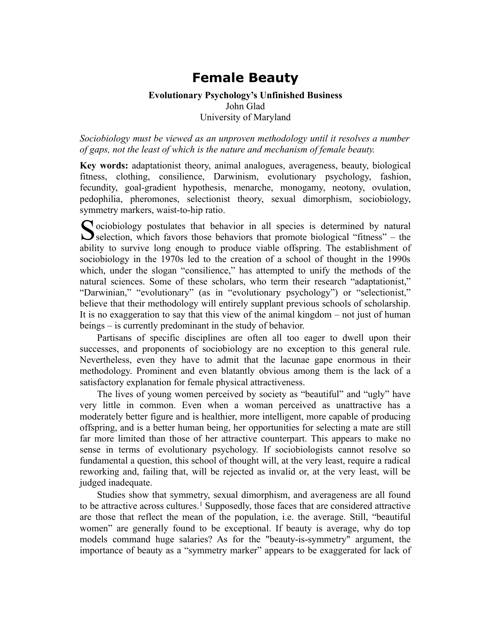# **Female Beauty**

## **Evolutionary Psychology's Unfinished Business** John Glad University of Maryland

*Sociobiology must be viewed as an unproven methodology until it resolves a number of gaps, not the least of which is the nature and mechanism of female beauty.*

**Key words:** adaptationist theory, animal analogues, averageness, beauty, biological fitness, clothing, consilience, Darwinism, evolutionary psychology, fashion, fecundity, goal-gradient hypothesis, menarche, monogamy, neotony, ovulation, pedophilia, pheromones, selectionist theory, sexual dimorphism, sociobiology, symmetry markers, waist-to-hip ratio.

 $\Gamma$  ociobiology postulates that behavior in all species is determined by natural Sociobiology postulates that behavior in all species is determined by natural<br>selection, which favors those behaviors that promote biological "fitness" – the ability to survive long enough to produce viable offspring. The establishment of sociobiology in the 1970s led to the creation of a school of thought in the 1990s which, under the slogan "consilience," has attempted to unify the methods of the natural sciences. Some of these scholars, who term their research "adaptationist," "Darwinian," "evolutionary" (as in "evolutionary psychology") or "selectionist," believe that their methodology will entirely supplant previous schools of scholarship. It is no exaggeration to say that this view of the animal kingdom – not just of human beings – is currently predominant in the study of behavior.

Partisans of specific disciplines are often all too eager to dwell upon their successes, and proponents of sociobiology are no exception to this general rule. Nevertheless, even they have to admit that the lacunae gape enormous in their methodology. Prominent and even blatantly obvious among them is the lack of a satisfactory explanation for female physical attractiveness.

The lives of young women perceived by society as "beautiful" and "ugly" have very little in common. Even when a woman perceived as unattractive has a moderately better figure and is healthier, more intelligent, more capable of producing offspring, and is a better human being, her opportunities for selecting a mate are still far more limited than those of her attractive counterpart. This appears to make no sense in terms of evolutionary psychology. If sociobiologists cannot resolve so fundamental a question, this school of thought will, at the very least, require a radical reworking and, failing that, will be rejected as invalid or, at the very least, will be judged inadequate.

Studies show that symmetry, sexual dimorphism, and averageness are all found to be attractive across cultures.<sup>1</sup> Supposedly, those faces that are considered attractive are those that reflect the mean of the population, i.e. the average. Still, "beautiful women" are generally found to be exceptional. If beauty is average, why do top models command huge salaries? As for the "beauty-is-symmetry" argument, the importance of beauty as a "symmetry marker" appears to be exaggerated for lack of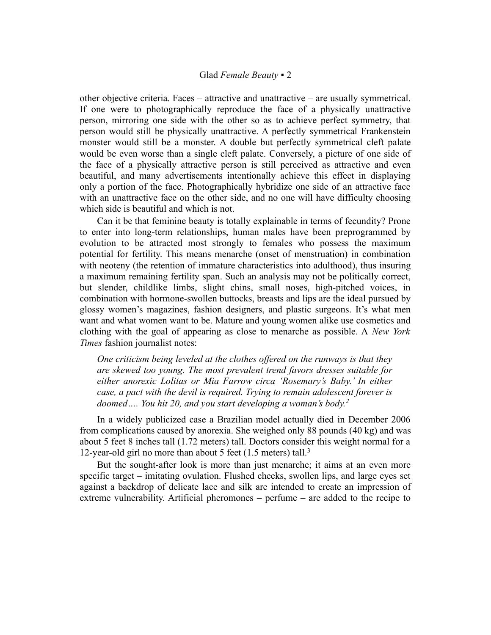#### Glad *Female Beauty* ▪ 2

other objective criteria. Faces – attractive and unattractive – are usually symmetrical. If one were to photographically reproduce the face of a physically unattractive person, mirroring one side with the other so as to achieve perfect symmetry, that person would still be physically unattractive. A perfectly symmetrical Frankenstein monster would still be a monster. A double but perfectly symmetrical cleft palate would be even worse than a single cleft palate. Conversely, a picture of one side of the face of a physically attractive person is still perceived as attractive and even beautiful, and many advertisements intentionally achieve this effect in displaying only a portion of the face. Photographically hybridize one side of an attractive face with an unattractive face on the other side, and no one will have difficulty choosing which side is beautiful and which is not.

Can it be that feminine beauty is totally explainable in terms of fecundity? Prone to enter into long-term relationships, human males have been preprogrammed by evolution to be attracted most strongly to females who possess the maximum potential for fertility. This means menarche (onset of menstruation) in combination with neoteny (the retention of immature characteristics into adulthood), thus insuring a maximum remaining fertility span. Such an analysis may not be politically correct, but slender, childlike limbs, slight chins, small noses, high-pitched voices, in combination with hormone-swollen buttocks, breasts and lips are the ideal pursued by glossy women's magazines, fashion designers, and plastic surgeons. It's what men want and what women want to be. Mature and young women alike use cosmetics and clothing with the goal of appearing as close to menarche as possible. A *New York Times* fashion journalist notes:

*One criticism being leveled at the clothes offered on the runways is that they are skewed too young. The most prevalent trend favors dresses suitable for either anorexic Lolitas or Mia Farrow circa 'Rosemary's Baby.' In either case, a pact with the devil is required. Trying to remain adolescent forever is doomed…. You hit 20, and you start developing a woman's body.<sup>2</sup>*

In a widely publicized case a Brazilian model actually died in December 2006 from complications caused by anorexia. She weighed only 88 pounds (40 kg) and was about 5 feet 8 inches tall (1.72 meters) tall. Doctors consider this weight normal for a 12-year-old girl no more than about 5 feet (1.5 meters) tall.<sup>3</sup>

But the sought-after look is more than just menarche; it aims at an even more specific target – imitating ovulation. Flushed cheeks, swollen lips, and large eyes set against a backdrop of delicate lace and silk are intended to create an impression of extreme vulnerability. Artificial pheromones – perfume – are added to the recipe to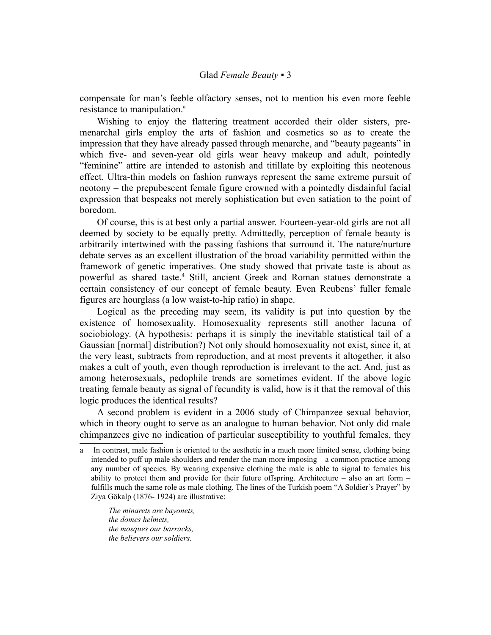compensate for man's feeble olfactory senses, not to mention his even more feeble resist[a](#page-2-0)nce to manipulation.<sup>a</sup>

Wishing to enjoy the flattering treatment accorded their older sisters, premenarchal girls employ the arts of fashion and cosmetics so as to create the impression that they have already passed through menarche, and "beauty pageants" in which five- and seven-year old girls wear heavy makeup and adult, pointedly "feminine" attire are intended to astonish and titillate by exploiting this neotenous effect. Ultra-thin models on fashion runways represent the same extreme pursuit of neotony – the prepubescent female figure crowned with a pointedly disdainful facial expression that bespeaks not merely sophistication but even satiation to the point of boredom.

Of course, this is at best only a partial answer. Fourteen-year-old girls are not all deemed by society to be equally pretty. Admittedly, perception of female beauty is arbitrarily intertwined with the passing fashions that surround it. The nature/nurture debate serves as an excellent illustration of the broad variability permitted within the framework of genetic imperatives. One study showed that private taste is about as powerful as shared taste.<sup>4</sup> Still, ancient Greek and Roman statues demonstrate a certain consistency of our concept of female beauty. Even Reubens' fuller female figures are hourglass (a low waist-to-hip ratio) in shape.

Logical as the preceding may seem, its validity is put into question by the existence of homosexuality. Homosexuality represents still another lacuna of sociobiology. (A hypothesis: perhaps it is simply the inevitable statistical tail of a Gaussian [normal] distribution?) Not only should homosexuality not exist, since it, at the very least, subtracts from reproduction, and at most prevents it altogether, it also makes a cult of youth, even though reproduction is irrelevant to the act. And, just as among heterosexuals, pedophile trends are sometimes evident. If the above logic treating female beauty as signal of fecundity is valid, how is it that the removal of this logic produces the identical results?

A second problem is evident in a 2006 study of Chimpanzee sexual behavior, which in theory ought to serve as an analogue to human behavior. Not only did male chimpanzees give no indication of particular susceptibility to youthful females, they

*The minarets are bayonets, the domes helmets, the mosques our barracks, the believers our soldiers.*

<span id="page-2-0"></span>a In contrast, male fashion is oriented to the aesthetic in a much more limited sense, clothing being intended to puff up male shoulders and render the man more imposing – a common practice among any number of species. By wearing expensive clothing the male is able to signal to females his ability to protect them and provide for their future offspring. Architecture – also an art form – fulfills much the same role as male clothing. The lines of the Turkish poem "A Soldier's Prayer" by Ziya Gökalp (1876- 1924) are illustrative: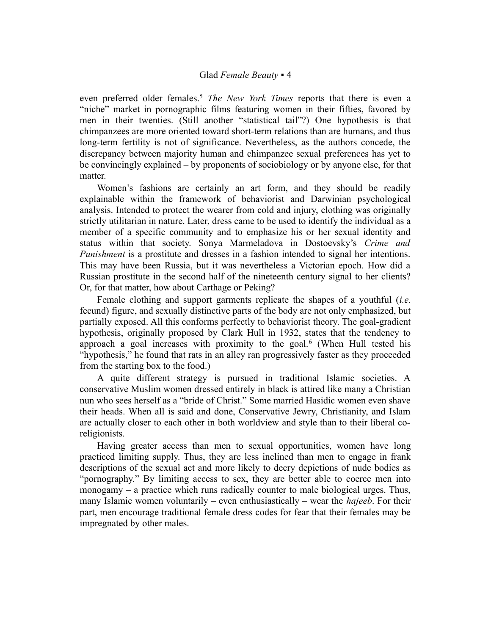## Glad *Female Beauty* ▪ 4

even preferred older females.<sup>5</sup> *The New York Times* reports that there is even a "niche" market in pornographic films featuring women in their fifties, favored by men in their twenties. (Still another "statistical tail"?) One hypothesis is that chimpanzees are more oriented toward short-term relations than are humans, and thus long-term fertility is not of significance. Nevertheless, as the authors concede, the discrepancy between majority human and chimpanzee sexual preferences has yet to be convincingly explained – by proponents of sociobiology or by anyone else, for that matter.

Women's fashions are certainly an art form, and they should be readily explainable within the framework of behaviorist and Darwinian psychological analysis. Intended to protect the wearer from cold and injury, clothing was originally strictly utilitarian in nature. Later, dress came to be used to identify the individual as a member of a specific community and to emphasize his or her sexual identity and status within that society. Sonya Marmeladova in Dostoevsky's *Crime and Punishment* is a prostitute and dresses in a fashion intended to signal her intentions. This may have been Russia, but it was nevertheless a Victorian epoch. How did a Russian prostitute in the second half of the nineteenth century signal to her clients? Or, for that matter, how about Carthage or Peking?

Female clothing and support garments replicate the shapes of a youthful (*i.e.* fecund) figure, and sexually distinctive parts of the body are not only emphasized, but partially exposed. All this conforms perfectly to behaviorist theory. The goal-gradient hypothesis, originally proposed by Clark Hull in 1932, states that the tendency to approach a goal increases with proximity to the goal.<sup>6</sup> (When Hull tested his "hypothesis," he found that rats in an alley ran progressively faster as they proceeded from the starting box to the food.)

A quite different strategy is pursued in traditional Islamic societies. A conservative Muslim women dressed entirely in black is attired like many a Christian nun who sees herself as a "bride of Christ." Some married Hasidic women even shave their heads. When all is said and done, Conservative Jewry, Christianity, and Islam are actually closer to each other in both worldview and style than to their liberal coreligionists.

Having greater access than men to sexual opportunities, women have long practiced limiting supply. Thus, they are less inclined than men to engage in frank descriptions of the sexual act and more likely to decry depictions of nude bodies as "pornography." By limiting access to sex, they are better able to coerce men into monogamy – a practice which runs radically counter to male biological urges. Thus, many Islamic women voluntarily – even enthusiastically – wear the *hajeeb*. For their part, men encourage traditional female dress codes for fear that their females may be impregnated by other males.